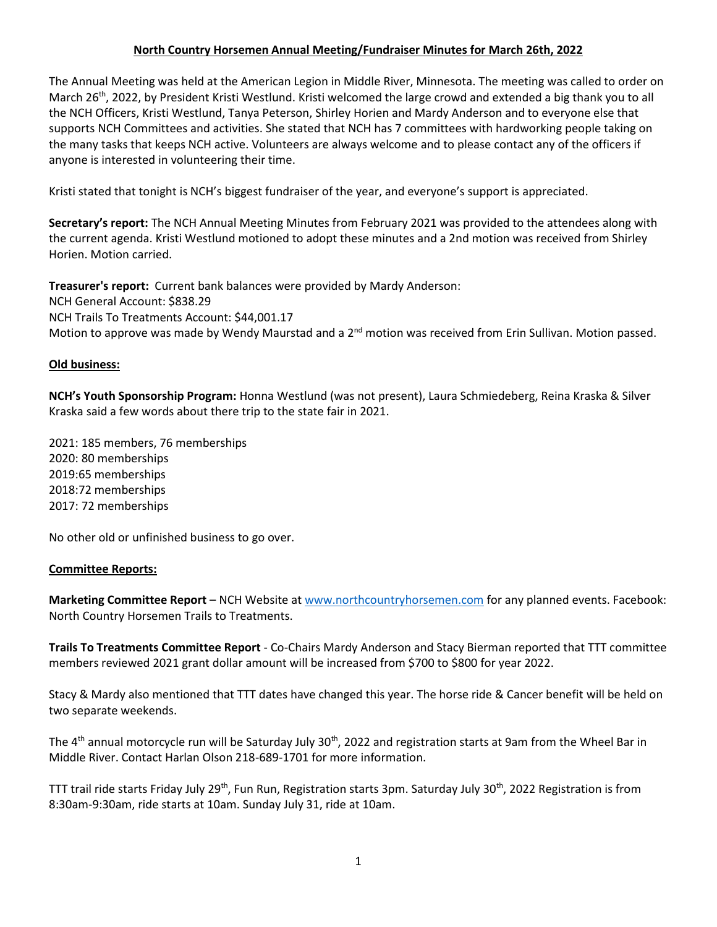## **North Country Horsemen Annual Meeting/Fundraiser Minutes for March 26th, 2022**

The Annual Meeting was held at the American Legion in Middle River, Minnesota. The meeting was called to order on March 26<sup>th</sup>, 2022, by President Kristi Westlund. Kristi welcomed the large crowd and extended a big thank you to all the NCH Officers, Kristi Westlund, Tanya Peterson, Shirley Horien and Mardy Anderson and to everyone else that supports NCH Committees and activities. She stated that NCH has 7 committees with hardworking people taking on the many tasks that keeps NCH active. Volunteers are always welcome and to please contact any of the officers if anyone is interested in volunteering their time.

Kristi stated that tonight is NCH's biggest fundraiser of the year, and everyone's support is appreciated.

**Secretary's report:** The NCH Annual Meeting Minutes from February 2021 was provided to the attendees along with the current agenda. Kristi Westlund motioned to adopt these minutes and a 2nd motion was received from Shirley Horien. Motion carried.

**Treasurer's report:** Current bank balances were provided by Mardy Anderson: NCH General Account: \$838.29 NCH Trails To Treatments Account: \$44,001.17 Motion to approve was made by Wendy Maurstad and a 2<sup>nd</sup> motion was received from Erin Sullivan. Motion passed.

### **Old business:**

**NCH's Youth Sponsorship Program:** Honna Westlund (was not present), Laura Schmiedeberg, Reina Kraska & Silver Kraska said a few words about there trip to the state fair in 2021.

2021: 185 members, 76 memberships 2020: 80 memberships 2019:65 memberships 2018:72 memberships 2017: 72 memberships

No other old or unfinished business to go over.

### **Committee Reports:**

**Marketing Committee Report** – NCH Website at [www.northcountryhorsemen.com](http://www.northcountryhorsemen.com/) for any planned events. Facebook: North Country Horsemen Trails to Treatments.

**Trails To Treatments Committee Report** - Co-Chairs Mardy Anderson and Stacy Bierman reported that TTT committee members reviewed 2021 grant dollar amount will be increased from \$700 to \$800 for year 2022.

Stacy & Mardy also mentioned that TTT dates have changed this year. The horse ride & Cancer benefit will be held on two separate weekends.

The 4<sup>th</sup> annual motorcycle run will be Saturday July 30<sup>th</sup>, 2022 and registration starts at 9am from the Wheel Bar in Middle River. Contact Harlan Olson 218-689-1701 for more information.

TTT trail ride starts Friday July 29<sup>th</sup>, Fun Run, Registration starts 3pm. Saturday July 30<sup>th</sup>, 2022 Registration is from 8:30am-9:30am, ride starts at 10am. Sunday July 31, ride at 10am.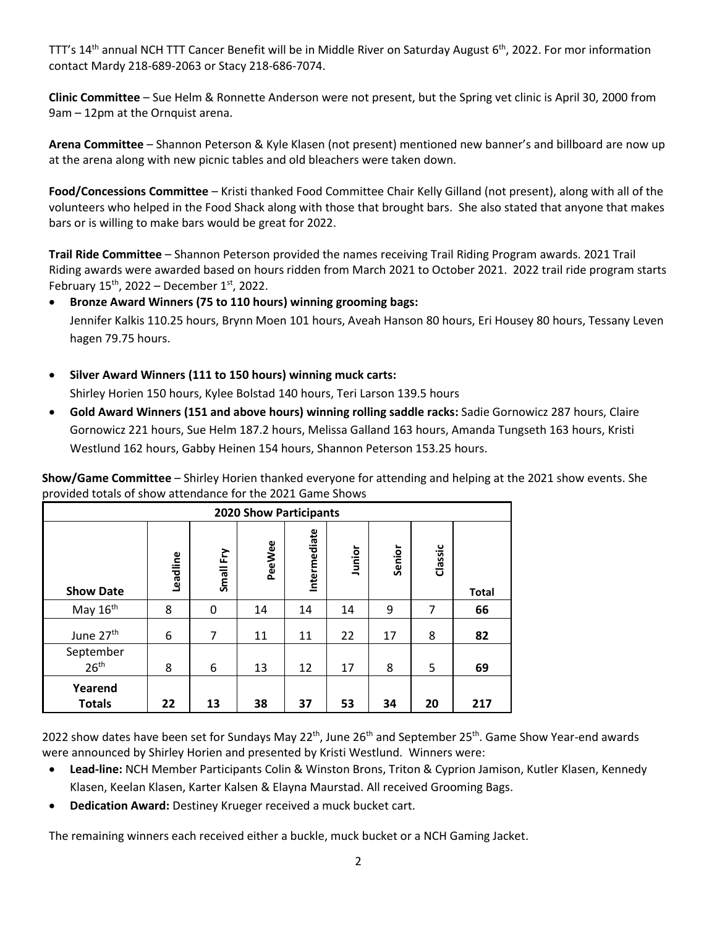TTT's 14<sup>th</sup> annual NCH TTT Cancer Benefit will be in Middle River on Saturday August 6<sup>th</sup>, 2022. For mor information contact Mardy 218-689-2063 or Stacy 218-686-7074.

**Clinic Committee** – Sue Helm & Ronnette Anderson were not present, but the Spring vet clinic is April 30, 2000 from 9am – 12pm at the Ornquist arena.

**Arena Committee** – Shannon Peterson & Kyle Klasen (not present) mentioned new banner's and billboard are now up at the arena along with new picnic tables and old bleachers were taken down.

**Food/Concessions Committee** – Kristi thanked Food Committee Chair Kelly Gilland (not present), along with all of the volunteers who helped in the Food Shack along with those that brought bars. She also stated that anyone that makes bars or is willing to make bars would be great for 2022.

**Trail Ride Committee** – Shannon Peterson provided the names receiving Trail Riding Program awards. 2021 Trail Riding awards were awarded based on hours ridden from March 2021 to October 2021. 2022 trail ride program starts February  $15^{th}$ , 2022 – December  $1^{st}$ , 2022.

# **Bronze Award Winners (75 to 110 hours) winning grooming bags:**  Jennifer Kalkis 110.25 hours, Brynn Moen 101 hours, Aveah Hanson 80 hours, Eri Housey 80 hours, Tessany Leven

hagen 79.75 hours.

- **Silver Award Winners (111 to 150 hours) winning muck carts:** Shirley Horien 150 hours, Kylee Bolstad 140 hours, Teri Larson 139.5 hours
- **Gold Award Winners (151 and above hours) winning rolling saddle racks:** Sadie Gornowicz 287 hours, Claire Gornowicz 221 hours, Sue Helm 187.2 hours, Melissa Galland 163 hours, Amanda Tungseth 163 hours, Kristi Westlund 162 hours, Gabby Heinen 154 hours, Shannon Peterson 153.25 hours.

**Show/Game Committee** – Shirley Horien thanked everyone for attending and helping at the 2021 show events. She provided totals of show attendance for the 2021 Game Shows

| <b>2020 Show Participants</b> |          |             |        |              |        |        |         |              |
|-------------------------------|----------|-------------|--------|--------------|--------|--------|---------|--------------|
| <b>Show Date</b>              | Leadline | ΕŅ<br>Small | PeeWee | Intermediate | Junior | Senior | Classic | <b>Total</b> |
| May 16th                      | 8        | 0           | 14     | 14           | 14     | 9      | 7       | 66           |
| June 27 <sup>th</sup>         | 6        | 7           | 11     | 11           | 22     | 17     | 8       | 82           |
| September<br>26 <sup>th</sup> | 8        | 6           | 13     | 12           | 17     | 8      | 5       | 69           |
| Yearend<br><b>Totals</b>      | 22       | 13          | 38     | 37           | 53     | 34     | 20      | 217          |

2022 show dates have been set for Sundays May 22<sup>th</sup>, June 26<sup>th</sup> and September 25<sup>th</sup>. Game Show Year-end awards were announced by Shirley Horien and presented by Kristi Westlund. Winners were:

- **Lead-line:** NCH Member Participants Colin & Winston Brons, Triton & Cyprion Jamison, Kutler Klasen, Kennedy Klasen, Keelan Klasen, Karter Kalsen & Elayna Maurstad. All received Grooming Bags.
- **Dedication Award:** Destiney Krueger received a muck bucket cart.

The remaining winners each received either a buckle, muck bucket or a NCH Gaming Jacket.